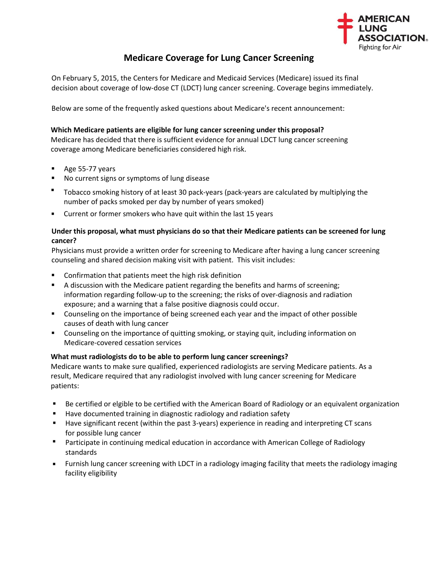

# **Medicare Coverage for Lung Cancer Screening**

On February 5, 2015, the Centers for Medicare and Medicaid Services (Medicare) issued its final decision about coverage of low-dose CT (LDCT) lung cancer screening. Coverage begins immediately.

Below are some of the frequently asked questions about Medicare's recent announcement:

## **Which Medicare patients are eligible for lung cancer screening under this proposal?**

Medicare has decided that there is sufficient evidence for annual LDCT lung cancer screening coverage among Medicare beneficiaries considered high risk.

- Age 55-77 years
- No current signs or symptoms of lung disease
- Tobacco smoking history of at least 30 pack-years (pack-years are calculated by multiplying the number of packs smoked per day by number of years smoked)
- **EXECUTE:** Current or former smokers who have quit within the last 15 years

## **Under this proposal, what must physicians do so that their Medicare patients can be screened for lung cancer?**

Physicians must provide a written order for screening to Medicare after having a lung cancer screening counseling and shared decision making visit with patient. This visit includes:

- **Confirmation that patients meet the high risk definition**
- A discussion with the Medicare patient regarding the benefits and harms of screening; information regarding follow-up to the screening; the risks of over-diagnosis and radiation exposure; and a warning that a false positive diagnosis could occur.
- **Counseling on the importance of being screened each year and the impact of other possible** causes of death with lung cancer
- Counseling on the importance of quitting smoking, or staying quit, including information on Medicare-covered cessation services

# **What must radiologists do to be able to perform lung cancer screenings?**

Medicare wants to make sure qualified, experienced radiologists are serving Medicare patients. As a result, Medicare required that any radiologist involved with lung cancer screening for Medicare patients:

- Be certified or elgible to be certified with the American Board of Radiology or an equivalent organization
- **Have documented training in diagnostic radiology and radiation safety**
- Have significant recent (within the past 3-years) experience in reading and interpreting CT scans for possible lung cancer
- **Participate in continuing medical education in accordance with American College of Radiology** standards
- Furnish lung cancer screening with LDCT in a radiology imaging facility that meets the radiology imaging facility eligibility